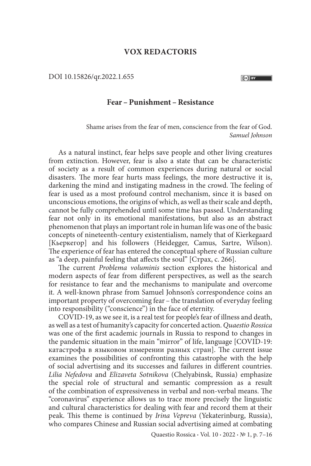## **VOX REDACTORIS**

DOI 10.15826/qr.2022.1.655

## **Fear – Punishment –Resistance**

Shame arises from the fear of men, conscience from the fear of God. *Samuel Johnson*

As a natural instinct, fear helps save people and other living creatures from extinction. However, fear is also a state that can be characteristic of society as a result of common experiences during natural or social disasters. The more fear hurts mass feelings, the more destructive it is, darkening the mind and instigating madness in the crowd. The feeling of fear is used as a most profound control mechanism, since it is based on unconscious emotions, the origins of which, as well as their scale and depth, cannot be fully comprehended until some time has passed. Understanding fear not only in its emotional manifestations, but also as an abstract phenomenon that plays an important role in human life was one of the basic concepts of nineteenth-century existentialism, namely that of Kierkegaard [Кьеркегор] and his followers (Heidegger, Camus, Sartre, Wilson). The experience of fear has entered the conceptual sphere of Russian culture as "a deep, painful feeling that affects the soul" [Страх, с. 266].

The current *Problema voluminis* section explores the historical and modern aspects of fear from different perspectives, as well as the search for resistance to fear and the mechanisms to manipulate and overcome it. A well-known phrase from Samuel Johnson's correspondence coins an important property of overcoming fear – the translation of everyday feeling into responsibility ("conscience") in the face of eternity.

COVID-19, as we see it, is a real test for people's fear of illness and death, as well as a test of humanity's capacity for concerted action. *Quaestio Rossica* was one of the first academic journals in Russia to respond to changes in the pandemic situation in the main "mirror" of life, language [COVID-19: катастрофа в языковом измерении разных стран]. The current issue examines the possibilities of confronting this catastrophe with the help of social advertising and its successes and failures in different countries. *Lilia Nefedova* and *Elizaveta Sotnikova* (Chelyabinsk, Russia) emphasize the special role of structural and semantic compression as a result of the combination of expressiveness in verbal and non-verbal means. The "coronavirus" experience allows us to trace more precisely the linguistic and cultural characteristics for dealing with fear and record them at their peak. This theme is continued by *Irina Vepreva* (Yekaterinburg, Russia), who compares Chinese and Russian social advertising aimed at combating

Quaestio Rossica **·** Vol. 10 **·** 2022 **·** № 1, p. 7–16

 $(G)$  BY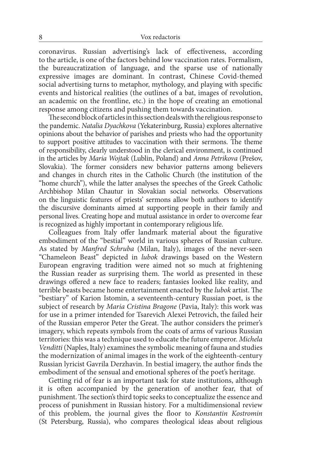coronavirus. Russian advertising's lack of effectiveness, according to the article, is one of the factors behind low vaccination rates. Formalism, the bureaucratization of language, and the sparse use of nationally expressive images are dominant. In contrast, Chinese Covid-themed social advertising turns to metaphor, mythology, and playing with specific events and historical realities (the outlines of a bat, images of revolution, an academic on the frontline, etc.) in the hope of creating an emotional response among citizens and pushing them towards vaccination.

The second block of articles in this section deals with the religious response to the pandemic. *Natalia Dyachkova* (Yekaterinburg, Russia) explores alternative opinions about the behavior of parishes and priests who had the opportunity to support positive attitudes to vaccination with their sermons. The theme of responsibility, clearly understood in the clerical environment, is continued in the articles by *Maria Wojtak* (Lublin, Poland) and *Anna Petrikova* (Prešov, Slovakia). The former considers new behavior patterns among believers and changes in church rites in the Catholic Church (the institution of the "home church"), while the latter analyses the speeches of the Greek Catholic Archbishop Milan Chautur in Slovakian social networks. Observations on the linguistic features of priests' sermons allow both authors to identify the discursive dominants aimed at supporting people in their family and personal lives. Creating hope and mutual assistance in order to overcome fear is recognized as highly important in contemporary religious life.

Colleagues from Italy offer landmark material about the figurative embodiment of the "bestial" world in various spheres of Russian culture. As stated by *Manfred Schruba* (Milan, Italy), images of the never-seen "Chameleon Beast" depicted in *lubok* drawings based on the Western European engraving tradition were aimed not so much at frightening the Russian reader as surprising them. The world as presented in these drawings offered a new face to readers; fantasies looked like reality, and terrible beasts became home entertainment enacted by the *lubok* artist. The "bestiary" of Karion Istomin, a seventeenth-century Russian poet, is the subject of research by *Maria Cristina Bragone* (Pavia, Italy): this work was for use in a primer intended for Tsarevich Alexei Petrovich, the failed heir of the Russian emperor Peter the Great. The author considers the primer's imagery, which repeats symbols from the coats of arms of various Russian territories: this was a technique used to educate the future emperor. *Michela Venditti* (Naples, Italy) examines the symbolic meaning of fauna and studies the modernization of animal images in the work of the eighteenth-century Russian lyricist Gavrila Derzhavin. In bestial imagery, the author finds the embodiment of the sensual and emotional spheres of the poet's heritage.

Getting rid of fear is an important task for state institutions, although it is often accompanied by the generation of another fear, that of punishment. The section's third topic seeks to conceptualize the essence and process of punishment in Russian history. For a multidimensional review of this problem, the journal gives the floor to *Konstantin Kostromin* (St Petersburg, Russia), who compares theological ideas about religious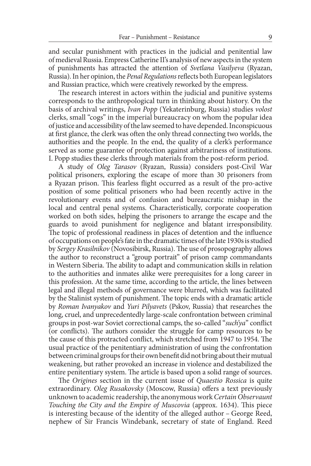and secular punishment with practices in the judicial and penitential law of medieval Russia. Empress Catherine II's analysis of new aspects in the system of punishments has attracted the attention of *Svetlana Vasilyeva* (Ryazan, Russia). In her opinion, the *Penal Regulations* reflects both European legislators and Russian practice, which were creatively reworked by the empress.

The research interest in actors within the judicial and punitive systems corresponds to the anthropological turn in thinking about history. On the basis of archival writings, *Ivan Popp* (Yekaterinburg, Russia) studies *volost*  clerks, small "cogs" in the imperial bureaucracy on whom the popular idea of justice and accessibility of the law seemed to have depended. Inconspicuous at first glance, the clerk was often the only thread connecting two worlds, the authorities and the people. In the end, the quality of a clerk's performance served as some guarantee of protection against arbitrariness of institutions. I. Popp studies these clerks through materials from the post-reform period.

A study of *Oleg Tarasov* (Ryazan, Russia) considers post-Civil War political prisoners, exploring the escape of more than 30 prisoners from a Ryazan prison. This fearless flight occurred as a result of the pro-active position of some political prisoners who had been recently active in the revolutionary events and of confusion and bureaucratic mishap in the local and central penal systems. Characteristically, corporate cooperation worked on both sides, helping the prisoners to arrange the escape and the guards to avoid punishment for negligence and blatant irresponsibility. The topic of professional readiness in places of detention and the influence of occupations on people's fate in the dramatic times of the late 1930s is studied by *Sergey Krasilnikov* (Novosibirsk, Russia). The use of prosopography allows the author to reconstruct a "group portrait" of prison camp commandants in Western Siberia. The ability to adapt and communication skills in relation to the authorities and inmates alike were prerequisites for a long career in this profession. At the same time, according to the article, the lines between legal and illegal methods of governance were blurred, which was facilitated by the Stalinist system of punishment. The topic ends with a dramatic article by *Roman Ivanyakov* and *Yuri Pilyavets* (Pskov, Russia) that researches the long, cruel, and unprecedentedly large-scale confrontation between criminal groups in post-war Soviet correctional camps, the so-called "*such'ya*" conflict (or conflicts). The authors consider the struggle for camp resources to be the cause of this protracted conflict, which stretched from 1947 to 1954. The usual practice of the penitentiary administration of using the confrontation between criminal groups for their own benefit did not bring about their mutual weakening, but rather provoked an increase in violence and destabilized the entire penitentiary system. The article is based upon a solid range of sources.

The *Origines* section in the current issue of *Quaestio Rossica* is quite extraordinary. *Oleg Rusakovsky* (Moscow, Russia) offers a text previously unknown to academic readership, the anonymous work *Certain Observaunt Touching the City and the Empire of Muscovia* (approx. 1634). This piece is interesting because of the identity of the alleged author – George Reed, nephew of Sir Francis Windebank, secretary of state of England. Reed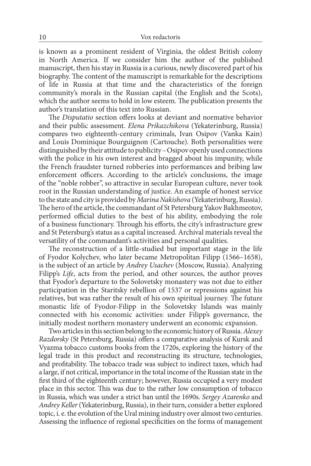is known as a prominent resident of Virginia, the oldest British colony in North America. If we consider him the author of the published manuscript, then his stay in Russia is a curious, newly discovered part of his biography. The content of the manuscript is remarkable for the descriptions of life in Russia at that time and the characteristics of the foreign community's morals in the Russian capital (the English and the Scots), which the author seems to hold in low esteem. The publication presents the author's translation of this text into Russian.

The *Disputatio* section offers looks at deviant and normative behavior and their public assessment. *Elena Prikazchikova* (Yekaterinburg, Russia) compares two eighteenth-century criminals, Ivan Osipov (Vanka Kain) and Louis Dominique Bourguignon (Cartouche). Both personalities were distinguished by their attitude to publicity–Osipov openly used connections with the police in his own interest and bragged about his impunity, while the French fraudster turned robberies into performances and bribing law enforcement officers. According to the article's conclusions, the image of the "noble robber", so attractive in secular European culture, never took root in the Russian understanding of justice. An example of honest service to the state and city is provided by *Marina Nakishova* (Yekaterinburg, Russia). The hero of the article, the commandant of St Petersburg Yakov Bakhmeotov, performed official duties to the best of his ability, embodying the role of a business functionary. Through his efforts, the city's infrastructure grew and St Petersburg's status as a capital increased. Archival materials reveal the versatility of the commandant's activities and personal qualities.

The reconstruction of a little-studied but important stage in the life of Fyodor Kolychev, who later became Metropolitan Filipp (1566–1658), is the subject of an article by *Andrey Usachev* (Moscow, Russia). Analyzing Filipp's *Life*, acts from the period, and other sources, the author proves that Fyodor's departure to the Solovetsky monastery was not due to either participation in the Staritsky rebellion of 1537 or repressions against his relatives, but was rather the result of his own spiritual journey. The future monastic life of Fyodor-Filipp in the Solovetsky Islands was mainly connected with his economic activities: under Filipp's governance, the initially modest northern monastery underwent an economic expansion.

Two articles in this section belong to the economic history of Russia. *Alexey Razdorsky* (St Petersburg, Russia) offers a comparative analysis of Kursk and Vyazma tobacco customs books from the 1720s, exploring the history of the legal trade in this product and reconstructing its structure, technologies, and profitability. The tobacco trade was subject to indirect taxes, which had a large, if not critical, importance in the total income of the Russian state in the first third of the eighteenth century; however, Russia occupied a very modest place in this sector. This was due to the rather low consumption of tobacco in Russia, which was under a strict ban until the 1690s. *Sergey Azarenko* and *Andrey Keller* (Yekaterinburg, Russia), in their turn, consider a better explored topic, i. e. the evolution of the Ural mining industry over almost two centuries. Assessing the influence of regional specificities on the forms of management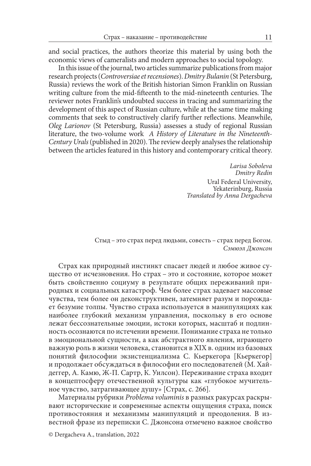and social practices, the authors theorize this material by using both the economic views of cameralists and modern approaches to social topology.

In this issue of the journal, two articles summarize publications from major research projects (*Controversiae et recensiones*). *Dmitry Bulanin* (St Petersburg, Russia) reviews the work of the British historian Simon Franklin on Russian writing culture from the mid-fifteenth to the mid-nineteenth centuries. The reviewer notes Franklin's undoubted success in tracing and summarizing the development of this aspect of Russian culture, while at the same time making comments that seek to constructively clarify further reflections. Meanwhile, *Oleg Larionov* (St Petersburg, Russia) assesses a study of regional Russian literature, the two-volume work *A History of Literature in the Nineteenth-Century Urals* (published in 2020). The review deeply analyses the relationship between the articles featured in this history and contemporary critical theory.

> *Larisa Soboleva Dmitry Redin* Ural Federal University, Yekaterinburg, Russia *Translated by Anna Dergacheva*

Стыд – это страх перед людьми, совесть – страх перед Богом. *Сэмюэл Джонсон*

Страх как природный инстинкт спасает людей и любое живое существо от исчезновения. Но страх – это и состояние, которое может быть свойственно социуму в результате общих переживаний природных и социальных катастроф. Чем более страх задевает массовые чувства, тем более он деконструктивен, затемняет разум и порождает безумие толпы. Чувство страха используется в манипуляциях как наиболее глубокий механизм управления, поскольку в его основе лежат бессознательные эмоции, истоки которых, масштаб и подлинность осознаются по истечении времени. Понимание страха не только в эмоциональной сущности, а как абстрактного явления, играющего важную роль в жизни человека, становится в XIX в. одним из базовых понятий философии экзистенциализма С. Кьеркегора [Кьеркегор] и продолжает обсуждаться в философии его последователей (М. Хайдеггер, А. Камю, Ж-П. Сартр, К. Уилсон). Переживание страха входит в концептосферу отечественной культуры как «глубокое мучительное чувство, затрагивающее душу» [Страх, с. 266].

Материалы рубрики *Problema voluminis* в разных ракурсах раскрывают исторические и современные аспекты ощущения страха, поиск противостояния и механизмы манипуляций и преодоления. В известной фразе из переписки С. Джонсона отмечено важное свойство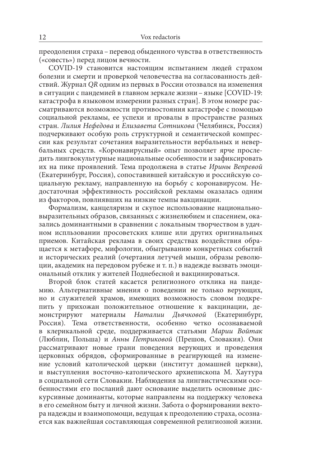преодоления страха – перевод обыденного чувства в ответственность («совесть») перед лицом вечности.

COVID-19 становится настоящим испытанием людей страхом болезни и смерти и проверкой человечества на согласованность действий. Журнал *QR* одним из первых в России отозвался на изменения в ситуации с пандемией в главном зеркале жизни – языке [COVID-19: катастрофа в языковом измерении разных стран]. В этом номере рассматриваются возможности противостояния катастрофе с помощью социальной рекламы, ее успехи и провалы в пространстве разных стран. *Лилия Нефедова* и *Елизавета Сотникова* (Челябинск, Россия) подчеркивают особую роль структурной и семантической компрессии как результат сочетания выразительности вербальных и невербальных средств. «Коронавирусный» опыт позволяет ярче проследить лингвокультурные национальные особенности и зафиксировать их на пике проявлений. Тема продолжена в статье *Ирины Вепревой* (Екатеринбург, Россия), сопоставившей китайскую и российскую социальную рекламу, направленную на борьбу с коронавирусом. Недостаточная эффективность российской рекламы оказалась одним из факторов, повлиявших на низкие темпы вакцинации.

Формализм, канцеляризм и скупое использование национальновыразительных образов, связанных с жизнелюбием и спасением, оказались доминантными в сравнении с локальным творчеством в удачном испльзовании просоветских клише или других оригинальных приемов. Китайская реклама в своих средствах воздействия обращается к метафоре, мифологии, обыгрыванию конкретных событий и исторических реалий (очертания летучей мыши, образы революции, академик на передовом рубеже и т. п.) в надежде вызвать эмоциональный отклик у жителей Поднебесной и вакцинироваться.

Второй блок статей касается религиозного отклика на пандемию. Альтернативные мнения о поведении не только верующих, но и служителей храмов, имеющих возможность словом подкрепить у прихожан положительное отношение к вакцинации, демонстрируют материалы *Наталии Дьячковой* (Екатеринбург, Россия). Тема ответственности, особенно четко осознаваемой в клерикальной среде, поддерживается статьями *Марии Войтак* (Люблин, Польша) и *Анны Петриковой* (Прешов, Словакия). Они рассматривают новые грани поведения верующих и проведения церковных обрядов, сформированные в реагирующей на изменение условий католической церкви (институт домашней церкви), и выступления восточно-католического архиепископа М. Хаутура в социальной сети Словакии. Наблюдения за лингвистическими особенностями его посланий дают основание выделить основные дискурсивные доминанты, которые направлены на поддержку человека в его семейном быту и личной жизни. Забота о формировании вектора надежды и взаимопомощи, ведущая к преодолению страха, осознается как важнейшая составляющая современной религиозной жизни.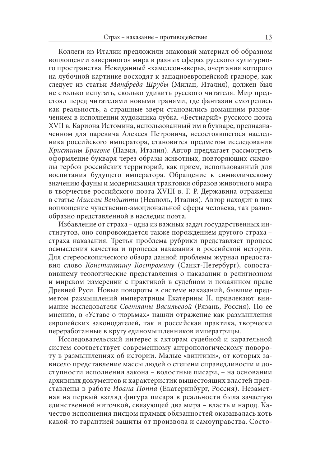Коллеги из Италии предложили знаковый материал об образном воплощении «звериного» мира в разных сферах русского культурного пространства. Невиданный «хамелеон-зверь», очертания которого на лубочной картинке восходят к западноевропейской гравюре, как следует из статьи *Манфреда Шрубы* (Милан, Италия), должен был не столько испугать, сколько удивить русского читателя. Мир предстоял перед читателями новыми гранями, где фантазии смотрелись как реальность, а страшные звери становились домашним развлечением в исполнении художника лубка. «Бестиарий» русского поэта XVII в. Кариона Истомина, использованный им в букваре, предназначенном для царевича Алексея Петровича, несостоявшегося наследника российского императора, становится предметом исследования *Кристины Брагоне* (Павия, Италия). Автор предлагает рассмотреть оформление букваря через образы животных, повторяющих символы гербов российских территорий, как прием, использованный для воспитания будущего императора. Обращение к символическому значению фауны и модернизация трактовки образов животного мира в творчестве российского поэта XVIII в. Г. Р. Державина отражены в статье *Микелы Вендитти* (Неаполь, Италия). Автор находит в них воплощение чувственно-эмоциональной сферы человека, так разнообразно представленной в наследии поэта.

Избавление от страха – одна из важных задач государственных институтов, оно сопровождается также порождением другого страха – страха наказания. Третья проблема рубрики представляет процесс осмысления качества и процесса наказания в российской истории. Для стереоскопического обзора данной проблемы журнал предоставил слово *Константину Костромину* (Санкт-Петербург), сопоставившему теологические представления о наказании в религиозном и мирском измерении с практикой в судебном и покаянном праве Древней Руси. Новые повороты в системе наказаний, бывшие предметом размышлений императрицы Екатерины II, привлекают внимание исследователя *Светланы Васильевой* (Рязань, Россия). По ее мнению, в «Уставе о тюрьмах» нашли отражение как размышления европейских законодателей, так и российская практика, творчески переработанные в кругу единомышленников императрицы.

Исследовательский интерес к акторам судебной и карательной систем соответствует современному антропологическому повороту в размышлениях об истории. Малые «винтики», от которых зависело представление массы людей о степени справедливости и доступности исполнения закона – волостные писари, – на основании архивных документов и характеристик вышестоящих властей представлены в работе *Ивана Поппа* (Екатеринбург, Россия). Незаметная на первый взгляд фигура писаря в реальности была зачастую единственной ниточкой, связующей два мира – власть и народ. Качество исполнения писцом прямых обязанностей оказывалась хоть какой-то гарантией защиты от произвола и самоуправства. Состо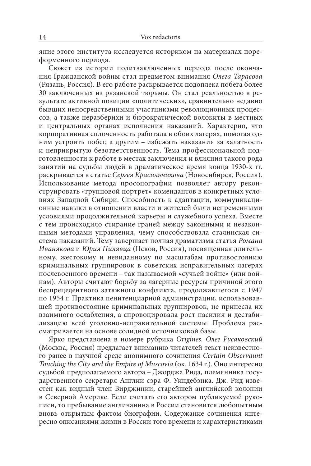яние этого института исследуется историком на материалах пореформенного периода.

Сюжет из истории политзаключенных периода после окончания Гражданской войны стал предметом внимания *Олега Тарасова* (Рязань, Россия). В его работе раскрывается подоплека побега более 30 заключенных из рязанской тюрьмы. Он стал реальностью в результате активной позиции «политических», сравнительно недавно бывших непосредственными участниками революционных процессов, а также неразберихи и бюрократической волокиты в местных и центральных органах исполнения наказаний. Характерно, что корпоративная сплоченность работала в обоих лагерях, помогая одним устроить побег, а другим – избежать наказания за халатность и неприкрытую безответственность. Тема профессиональной подготовленности к работе в местах заключения и влияния такого рода занятий на судьбы людей в драматическое время конца 1930-х гг. раскрывается в статье *Сергея Красильникова* (Новосибирск, Россия). Использование метода просопографии позволяет автору реконструировать «групповой портрет» комендантов в конкретных условиях Западной Сибири. Способность к адаптации, коммуникационные навыки в отношении власти и жителей были непременными условиями продолжительной карьеры и служебного успеха. Вместе с тем происходило стирание граней между законными и незаконными методами управления, чему способствовала сталинская система наказаний. Тему завершает полная драматизма статья *Романа Иванякова* и *Юрия Пилявца* (Псков, Россия), посвященная длительному, жестокому и невиданному по масштабам противостоянию криминальных группировок в советских исправительных лагерях послевоенного времени – так называемой «сучьей войне» (или войнам). Авторы считают борьбу за лагерные ресурсы причиной этого беспрецедентного затяжного конфликта, продолжавшегося с 1947 по 1954 г. Практика пенитенциарной администрации, использовавшей противостояние криминальных группировок, не принесла их взаимного ослабления, а спровоцировала рост насилия и дестабилизацию всей уголовно-исправительной системы. Проблема рассматривается на основе солидной источниковой базы.

Ярко представлена в номере рубрика *Origines*. *Олег Русаковский* (Москва, Россия) предлагает вниманию читателей текст неизвестного ранее в научной среде анонимного сочинения *Certain Observaunt Touching the City and the Empire of Muscovia* (ок. 1634 г.). Оно интересно судьбой предполагаемого автора – Джорджа Рида, племянника государственного секретаря Англии сэра Ф. Уиндебэнка. Дж. Рид известен как видный член Вирджинии, старейшей английской колонии в Северной Америке. Если считать его автором публикуемой рукописи, то пребывание англичанина в России становится любопытным вновь открытым фактом биографии. Содержание сочинения интересно описаниями жизни в России того времени и характеристиками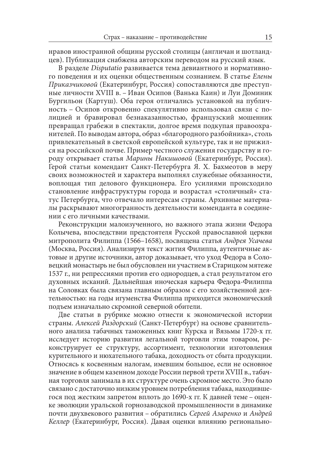нравов иностранной общины русской столицы (англичан и шотландцев). Публикация снабжена авторским переводом на русский язык.

В разделе *Disputatio* развивается тема девиантного и нормативного поведения и их оценки общественным сознанием. В статье *Елены Приказчиковой* (Екатеринбург, Россия) сопоставляются две преступные личности XVIII в. – Иван Осипов (Ванька Каин) и Луи Доминик Бургильон (Картуш). Оба героя отличались установкой на публичность – Осипов откровенно спекулятивно использовал связи с полицией и бравировал безнаказанностью, французский мошенник превращал грабежи в спектакли, долгое время подкупая правоохранителей. По выводам автора, образ «благородного разбойника», столь привлекательный в светской европейской культуре, так и не прижился на российской почве. Пример честного служения государству и городу открывает статья *Марины Накишовой* (Екатеринбург, Россия). Герой статьи комендант Санкт-Петербурга Я. Х. Бахмеотов в меру своих возможностей и характера выполнял служебные обязанности, воплощая тип делового функционера. Его усилиями происходило становление инфраструктуры города и возрастал «столичный» статус Петербурга, что отвечало интересам страны. Архивные материалы раскрывают многогранность деятельности коменданта в соединении с его личными качествами.

Реконструкции малоизученного, но важного этапа жизни Федора Колычева, впоследствии предстоятеля Русской православной церкви митрополита Филиппа (1566–1658), посвящена статья *Андрея Усачева* (Москва, Россия). Анализируя текст жития Филиппа, аутентичные актовые и другие источники, автор доказывает, что уход Федора в Соловецкий монастырь не был обусловлен ни участием в Старицком мятеже 1537 г., ни репрессиями против его однородцев, а стал результатом его духовных исканий. Дальнейшая иноческая карьера Федора-Филиппа на Соловках была связана главным образом с его хозяйственной деятельностью: на годы игуменства Филиппа приходится экономический подъем изначально скромной северной обители.

Две статьи в рубрике можно отнести к экономической истории страны. *Алексей Раздорский* (Санкт-Петербург) на основе сравнительного анализа табачных таможенных книг Курска и Вязьмы 1720-х гг. исследует историю развития легальной торговли этим товаром, реконструирует ее структуру, ассортимент, технологии изготовления курительного и нюхательного табака, доходность от сбыта продукции. Относясь к косвенным налогам, имевшим большое, если не основное значение в общем казенном доходе России первой трети XVIII в., табачная торговля занимала в их структуре очень скромное место. Это было связано с достаточно низким уровнем потребления табака, находившегося под жестким запретом вплоть до 1690-х гг. К давней теме – оценке эволюции уральской горнозаводской промышленности в динамике почти двухвекового развития – обратились *Сергей Азаренко* и *Андрей Келлер* (Екатеринбург, Россия). Давая оценки влиянию регионально